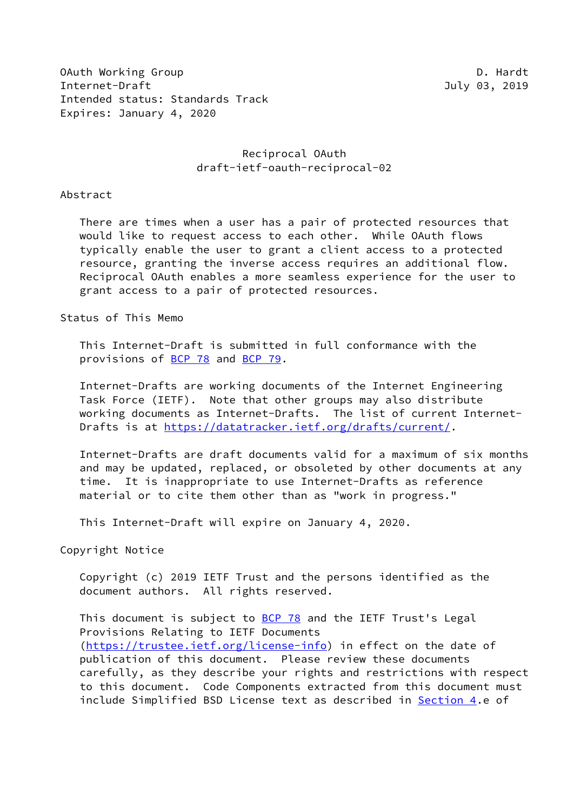OAuth Working Group Description of the Contract of the D. Hardt Internet-Draft July 03, 2019 Intended status: Standards Track Expires: January 4, 2020

# Reciprocal OAuth draft-ietf-oauth-reciprocal-02

#### Abstract

 There are times when a user has a pair of protected resources that would like to request access to each other. While OAuth flows typically enable the user to grant a client access to a protected resource, granting the inverse access requires an additional flow. Reciprocal OAuth enables a more seamless experience for the user to grant access to a pair of protected resources.

Status of This Memo

 This Internet-Draft is submitted in full conformance with the provisions of [BCP 78](https://datatracker.ietf.org/doc/pdf/bcp78) and [BCP 79](https://datatracker.ietf.org/doc/pdf/bcp79).

 Internet-Drafts are working documents of the Internet Engineering Task Force (IETF). Note that other groups may also distribute working documents as Internet-Drafts. The list of current Internet- Drafts is at<https://datatracker.ietf.org/drafts/current/>.

 Internet-Drafts are draft documents valid for a maximum of six months and may be updated, replaced, or obsoleted by other documents at any time. It is inappropriate to use Internet-Drafts as reference material or to cite them other than as "work in progress."

This Internet-Draft will expire on January 4, 2020.

Copyright Notice

 Copyright (c) 2019 IETF Trust and the persons identified as the document authors. All rights reserved.

This document is subject to **[BCP 78](https://datatracker.ietf.org/doc/pdf/bcp78)** and the IETF Trust's Legal Provisions Relating to IETF Documents [\(https://trustee.ietf.org/license-info](https://trustee.ietf.org/license-info)) in effect on the date of publication of this document. Please review these documents carefully, as they describe your rights and restrictions with respect to this document. Code Components extracted from this document must include Simplified BSD License text as described in [Section 4.](#page-6-0)e of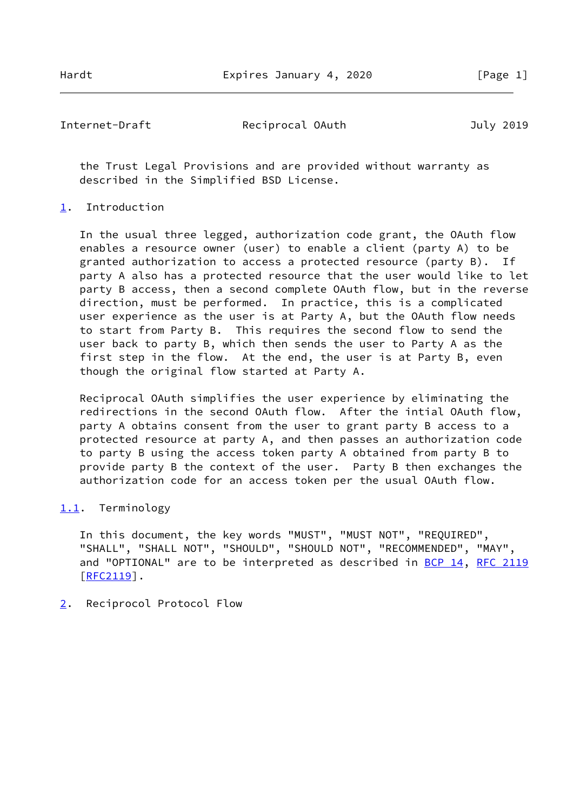Internet-Draft Reciprocal OAuth July 2019

 the Trust Legal Provisions and are provided without warranty as described in the Simplified BSD License.

# <span id="page-1-0"></span>[1](#page-1-0). Introduction

 In the usual three legged, authorization code grant, the OAuth flow enables a resource owner (user) to enable a client (party A) to be granted authorization to access a protected resource (party B). If party A also has a protected resource that the user would like to let party B access, then a second complete OAuth flow, but in the reverse direction, must be performed. In practice, this is a complicated user experience as the user is at Party A, but the OAuth flow needs to start from Party B. This requires the second flow to send the user back to party B, which then sends the user to Party A as the first step in the flow. At the end, the user is at Party B, even though the original flow started at Party A.

 Reciprocal OAuth simplifies the user experience by eliminating the redirections in the second OAuth flow. After the intial OAuth flow, party A obtains consent from the user to grant party B access to a protected resource at party A, and then passes an authorization code to party B using the access token party A obtained from party B to provide party B the context of the user. Party B then exchanges the authorization code for an access token per the usual OAuth flow.

# <span id="page-1-1"></span>[1.1](#page-1-1). Terminology

 In this document, the key words "MUST", "MUST NOT", "REQUIRED", "SHALL", "SHALL NOT", "SHOULD", "SHOULD NOT", "RECOMMENDED", "MAY", and "OPTIONAL" are to be interpreted as described in [BCP 14](https://datatracker.ietf.org/doc/pdf/bcp14), [RFC 2119](https://datatracker.ietf.org/doc/pdf/rfc2119) [\[RFC2119](https://datatracker.ietf.org/doc/pdf/rfc2119)].

<span id="page-1-2"></span>[2](#page-1-2). Reciprocol Protocol Flow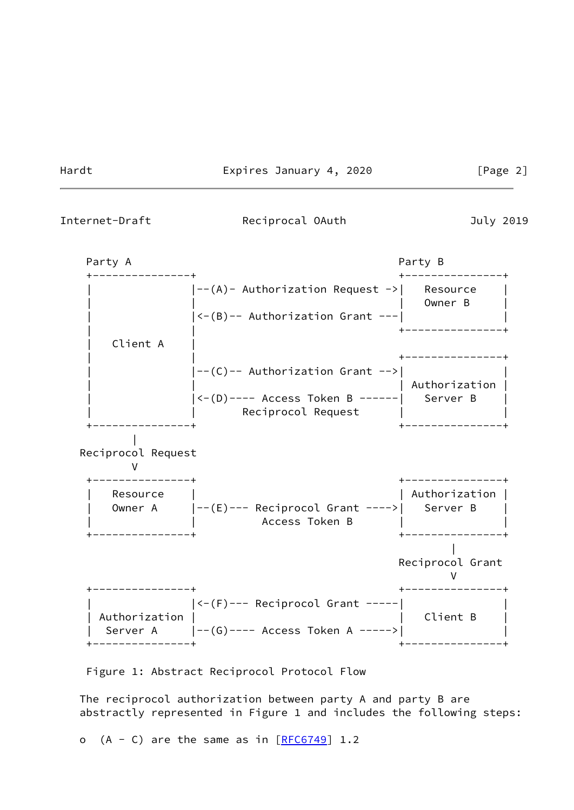Hardt Expires January 4, 2020 [Page 2]

Internet-Draft Reciprocal OAuth July 2019



Figure 1: Abstract Reciprocol Protocol Flow

 The reciprocol authorization between party A and party B are abstractly represented in Figure 1 and includes the following steps:

o  $(A - C)$  are the same as in  $[REG749]$  1.2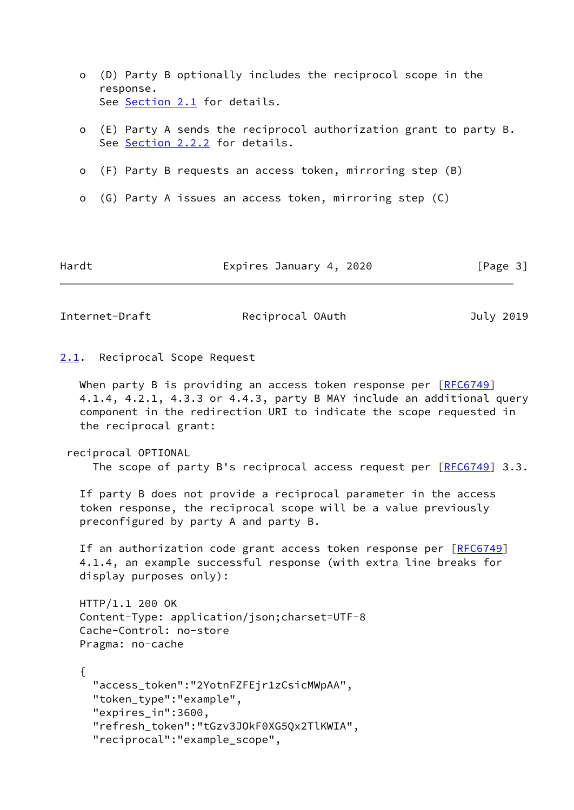- o (D) Party B optionally includes the reciprocol scope in the response. See [Section 2.1](#page-3-0) for details.
- o (E) Party A sends the reciprocol authorization grant to party B. See [Section 2.2.2](#page-4-0) for details.
- o (F) Party B requests an access token, mirroring step (B)
- o (G) Party A issues an access token, mirroring step (C)

Hardt Expires January 4, 2020 [Page 3]

Internet-Draft Reciprocal OAuth July 2019

### <span id="page-3-0"></span>[2.1](#page-3-0). Reciprocal Scope Request

When party B is providing an access token response per  $[REC6749]$  4.1.4, 4.2.1, 4.3.3 or 4.4.3, party B MAY include an additional query component in the redirection URI to indicate the scope requested in the reciprocal grant:

reciprocal OPTIONAL

The scope of party B's reciprocal access request per  $[RECG749]$  3.3.

 If party B does not provide a reciprocal parameter in the access token response, the reciprocal scope will be a value previously preconfigured by party A and party B.

If an authorization code grant access token response per [\[RFC6749](https://datatracker.ietf.org/doc/pdf/rfc6749)] 4.1.4, an example successful response (with extra line breaks for display purposes only):

```
 HTTP/1.1 200 OK
Content-Type: application/json;charset=UTF-8
Cache-Control: no-store
Pragma: no-cache
```
 { "access\_token":"2YotnFZFEjr1zCsicMWpAA", "token\_type":"example", "expires\_in":3600, "refresh\_token":"tGzv3JOkF0XG5Qx2TlKWIA", "reciprocal":"example\_scope",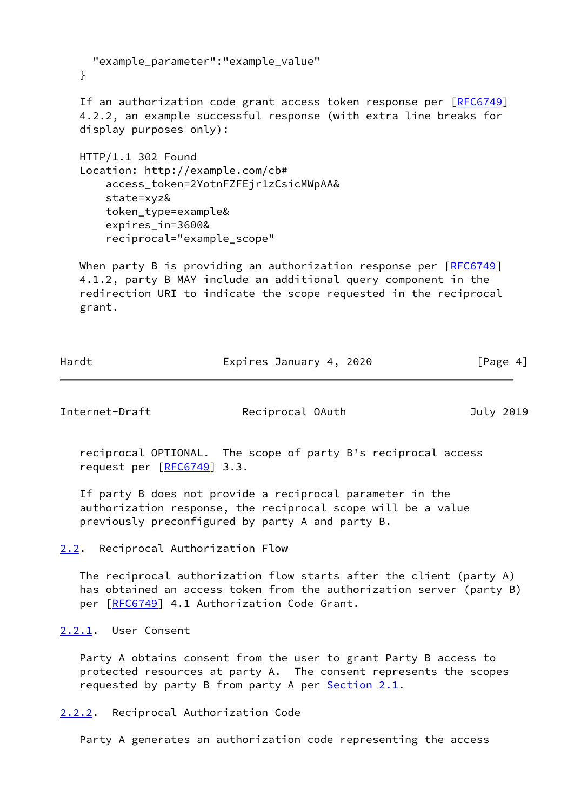```
 "example_parameter":"example_value"
}
```
If an authorization code grant access token response per [\[RFC6749](https://datatracker.ietf.org/doc/pdf/rfc6749)] 4.2.2, an example successful response (with extra line breaks for display purposes only):

 HTTP/1.1 302 Found Location: http://example.com/cb# access\_token=2YotnFZFEjr1zCsicMWpAA& state=xyz& token\_type=example& expires\_in=3600& reciprocal="example\_scope"

When party B is providing an authorization response per [\[RFC6749](https://datatracker.ietf.org/doc/pdf/rfc6749)] 4.1.2, party B MAY include an additional query component in the redirection URI to indicate the scope requested in the reciprocal grant.

| Hardt | Expires January 4, 2020 |          |
|-------|-------------------------|----------|
|       |                         | [Page 4] |

Internet-Draft Reciprocal OAuth July 2019

 reciprocal OPTIONAL. The scope of party B's reciprocal access request per  $[REG749]$  3.3.

 If party B does not provide a reciprocal parameter in the authorization response, the reciprocal scope will be a value previously preconfigured by party A and party B.

 The reciprocal authorization flow starts after the client (party A) has obtained an access token from the authorization server (party B) per [\[RFC6749](https://datatracker.ietf.org/doc/pdf/rfc6749)] 4.1 Authorization Code Grant.

<span id="page-4-2"></span>[2.2.1](#page-4-2). User Consent

 Party A obtains consent from the user to grant Party B access to protected resources at party A. The consent represents the scopes requested by party B from party A per  $Section 2.1$ .

<span id="page-4-0"></span>[2.2.2](#page-4-0). Reciprocal Authorization Code

Party A generates an authorization code representing the access

<span id="page-4-1"></span>[<sup>2.2</sup>](#page-4-1). Reciprocal Authorization Flow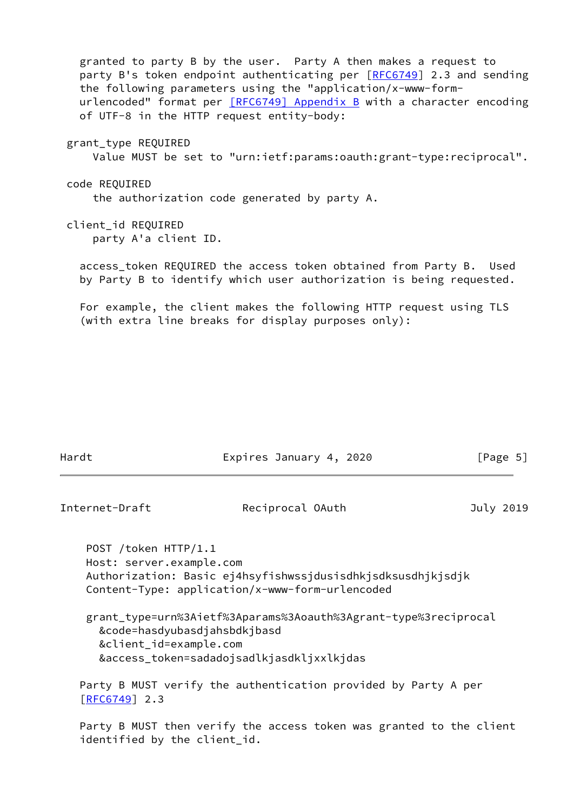granted to party B by the user. Party A then makes a request to party B's token endpoint authenticating per [\[RFC6749](https://datatracker.ietf.org/doc/pdf/rfc6749)] 2.3 and sending the following parameters using the "application/x-www-form urlencoded" format per **[\[RFC6749\] Appendix](https://datatracker.ietf.org/doc/pdf/rfc6749#appendix-B) B** with a character encoding of UTF-8 in the HTTP request entity-body: grant\_type REQUIRED Value MUST be set to "urn:ietf:params:oauth:grant-type:reciprocal". code REQUIRED the authorization code generated by party A. client\_id REQUIRED party A'a client ID. access token REQUIRED the access token obtained from Party B. Used by Party B to identify which user authorization is being requested.

 For example, the client makes the following HTTP request using TLS (with extra line breaks for display purposes only):

| Hardt | Expires January 4, 2020 | [Page 5] |
|-------|-------------------------|----------|
|       |                         |          |

Internet-Draft Reciprocal OAuth July 2019

 POST /token HTTP/1.1 Host: server.example.com Authorization: Basic ej4hsyfishwssjdusisdhkjsdksusdhjkjsdjk Content-Type: application/x-www-form-urlencoded

 grant\_type=urn%3Aietf%3Aparams%3Aoauth%3Agrant-type%3reciprocal &code=hasdyubasdjahsbdkjbasd &client\_id=example.com &access\_token=sadadojsadlkjasdkljxxlkjdas

 Party B MUST verify the authentication provided by Party A per [\[RFC6749](https://datatracker.ietf.org/doc/pdf/rfc6749)] 2.3

 Party B MUST then verify the access token was granted to the client identified by the client\_id.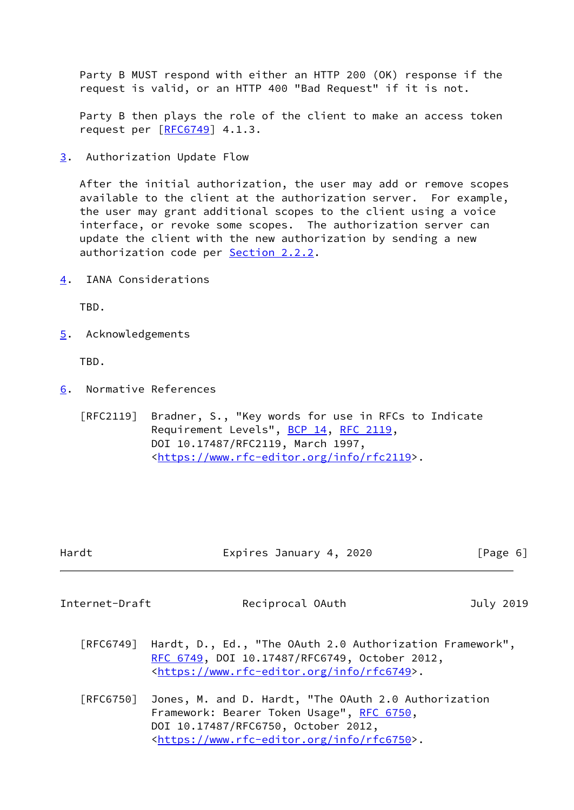Party B MUST respond with either an HTTP 200 (OK) response if the request is valid, or an HTTP 400 "Bad Request" if it is not.

 Party B then plays the role of the client to make an access token request per [\[RFC6749](https://datatracker.ietf.org/doc/pdf/rfc6749)] 4.1.3.

<span id="page-6-1"></span>[3](#page-6-1). Authorization Update Flow

 After the initial authorization, the user may add or remove scopes available to the client at the authorization server. For example, the user may grant additional scopes to the client using a voice interface, or revoke some scopes. The authorization server can update the client with the new authorization by sending a new authorization code per **[Section 2.2.2.](#page-4-0)** 

<span id="page-6-0"></span>[4](#page-6-0). IANA Considerations

TBD.

<span id="page-6-2"></span>[5](#page-6-2). Acknowledgements

TBD.

<span id="page-6-3"></span>[6](#page-6-3). Normative References

 [RFC2119] Bradner, S., "Key words for use in RFCs to Indicate Requirement Levels", [BCP 14](https://datatracker.ietf.org/doc/pdf/bcp14), [RFC 2119](https://datatracker.ietf.org/doc/pdf/rfc2119), DOI 10.17487/RFC2119, March 1997, <[https://www.rfc-editor.org/info/rfc2119>](https://www.rfc-editor.org/info/rfc2119).

| Hardt | Expires January 4, 2020 | [Page 6] |
|-------|-------------------------|----------|
|       |                         |          |

Internet-Draft Reciprocal OAuth July 2019

- [RFC6749] Hardt, D., Ed., "The OAuth 2.0 Authorization Framework", [RFC 6749,](https://datatracker.ietf.org/doc/pdf/rfc6749) DOI 10.17487/RFC6749, October 2012, <[https://www.rfc-editor.org/info/rfc6749>](https://www.rfc-editor.org/info/rfc6749).
- [RFC6750] Jones, M. and D. Hardt, "The OAuth 2.0 Authorization Framework: Bearer Token Usage", [RFC 6750,](https://datatracker.ietf.org/doc/pdf/rfc6750) DOI 10.17487/RFC6750, October 2012, <[https://www.rfc-editor.org/info/rfc6750>](https://www.rfc-editor.org/info/rfc6750).